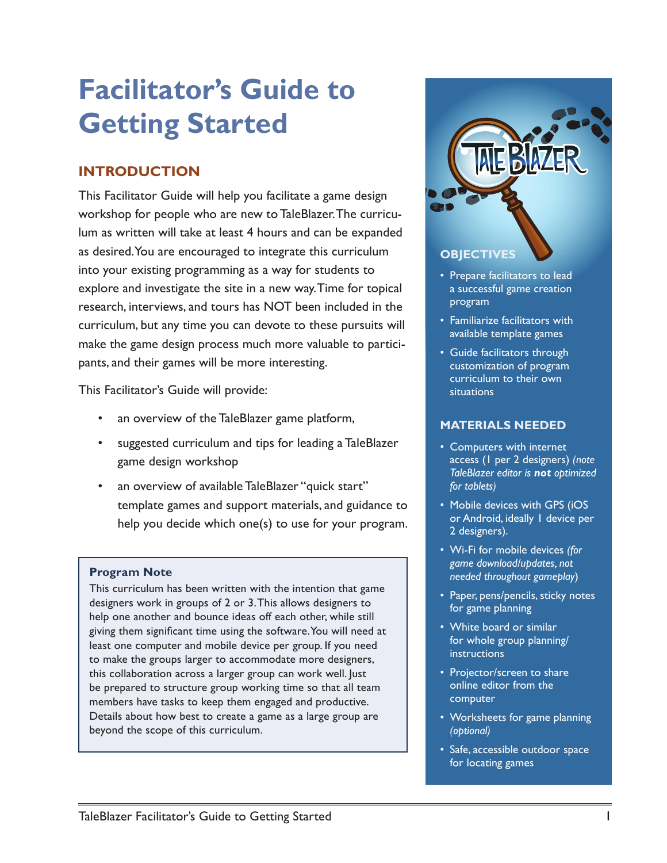# **Facilitator's Guide to Getting Started**

## **INTRODUCTION**

This Facilitator Guide will help you facilitate a game design workshop for people who are new to TaleBlazer. The curriculum as written will take at least 4 hours and can be expanded as desired. You are encouraged to integrate this curriculum into your existing programming as a way for students to explore and investigate the site in a new way. Time for topical research, interviews, and tours has NOT been included in the curriculum, but any time you can devote to these pursuits will make the game design process much more valuable to participants, and their games will be more interesting.

This Facilitator's Guide will provide:

- an overview of the TaleBlazer game platform,
- suggested curriculum and tips for leading a TaleBlazer game design workshop
- an overview of available TaleBlazer "quick start" template games and support materials, and guidance to help you decide which one(s) to use for your program.

#### **Program Note**

This curriculum has been written with the intention that game designers work in groups of 2 or 3. This allows designers to help one another and bounce ideas off each other, while still giving them significant time using the software. You will need at least one computer and mobile device per group. If you need to make the groups larger to accommodate more designers, this collaboration across a larger group can work well. Just be prepared to structure group working time so that all team members have tasks to keep them engaged and productive. Details about how best to create a game as a large group are beyond the scope of this curriculum.



#### **OBJECTIVES**

- Prepare facilitators to lead a successful game creation program
- Familiarize facilitators with available template games
- Guide facilitators through customization of program curriculum to their own situations

### **MATERIALS NEEDED**

- Computers with internet access (1 per 2 designers) *(note TaleBlazer editor is not optimized for tablets)*
- Mobile devices with GPS (iOS or Android, ideally 1 device per 2 designers).
- Wi-Fi for mobile devices *(for game download/updates, not needed throughout gameplay*)
- Paper, pens/pencils, sticky notes for game planning
- White board or similar for whole group planning/ instructions
- Projector/screen to share online editor from the computer
- Worksheets for game planning *(optional)*
- Safe, accessible outdoor space for locating games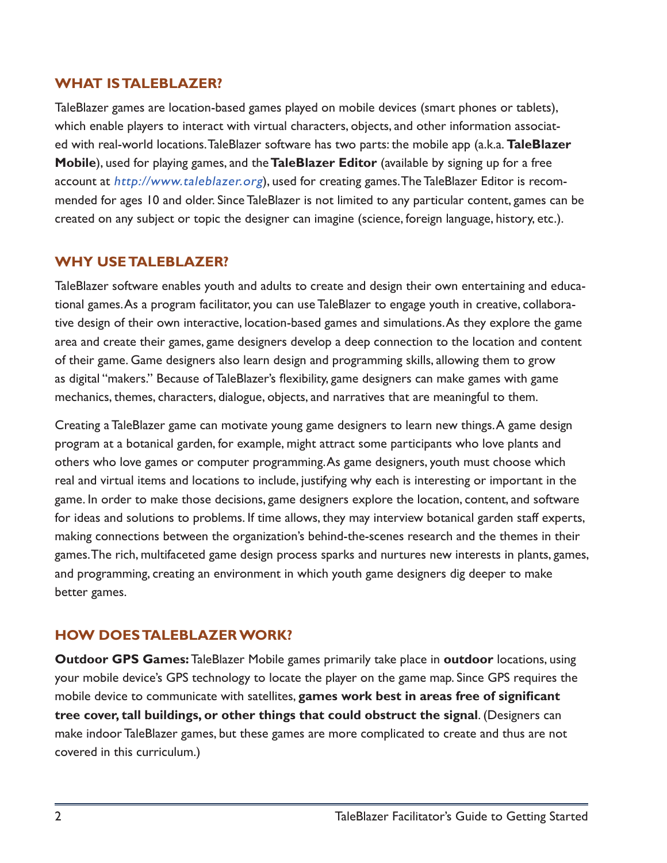## **WHAT IS TALEBLAZER?**

TaleBlazer games are location-based games played on mobile devices (smart phones or tablets), which enable players to interact with virtual characters, objects, and other information associated with real-world locations. TaleBlazer software has two parts: the mobile app (a.k.a. **TaleBlazer Mobile**), used for playing games, and the **TaleBlazer Editor** (available by signing up for a free account at <http://www.taleblazer.org>), used for creating games. The TaleBlazer Editor is recommended for ages 10 and older. Since TaleBlazer is not limited to any particular content, games can be created on any subject or topic the designer can imagine (science, foreign language, history, etc.).

## **WHY USE TALEBLAZER?**

TaleBlazer software enables youth and adults to create and design their own entertaining and educational games. As a program facilitator, you can use TaleBlazer to engage youth in creative, collaborative design of their own interactive, location-based games and simulations. As they explore the game area and create their games, game designers develop a deep connection to the location and content of their game. Game designers also learn design and programming skills, allowing them to grow as digital "makers." Because of TaleBlazer's flexibility, game designers can make games with game mechanics, themes, characters, dialogue, objects, and narratives that are meaningful to them.

Creating a TaleBlazer game can motivate young game designers to learn new things. A game design program at a botanical garden, for example, might attract some participants who love plants and others who love games or computer programming. As game designers, youth must choose which real and virtual items and locations to include, justifying why each is interesting or important in the game. In order to make those decisions, game designers explore the location, content, and software for ideas and solutions to problems. If time allows, they may interview botanical garden staff experts, making connections between the organization's behind-the-scenes research and the themes in their games. The rich, multifaceted game design process sparks and nurtures new interests in plants, games, and programming, creating an environment in which youth game designers dig deeper to make better games.

## **HOW DOES TALEBLAZER WORK?**

**Outdoor GPS Games:** TaleBlazer Mobile games primarily take place in **outdoor** locations, using your mobile device's GPS technology to locate the player on the game map. Since GPS requires the mobile device to communicate with satellites, **games work best in areas free of significant tree cover, tall buildings, or other things that could obstruct the signal**. (Designers can make indoor TaleBlazer games, but these games are more complicated to create and thus are not covered in this curriculum.)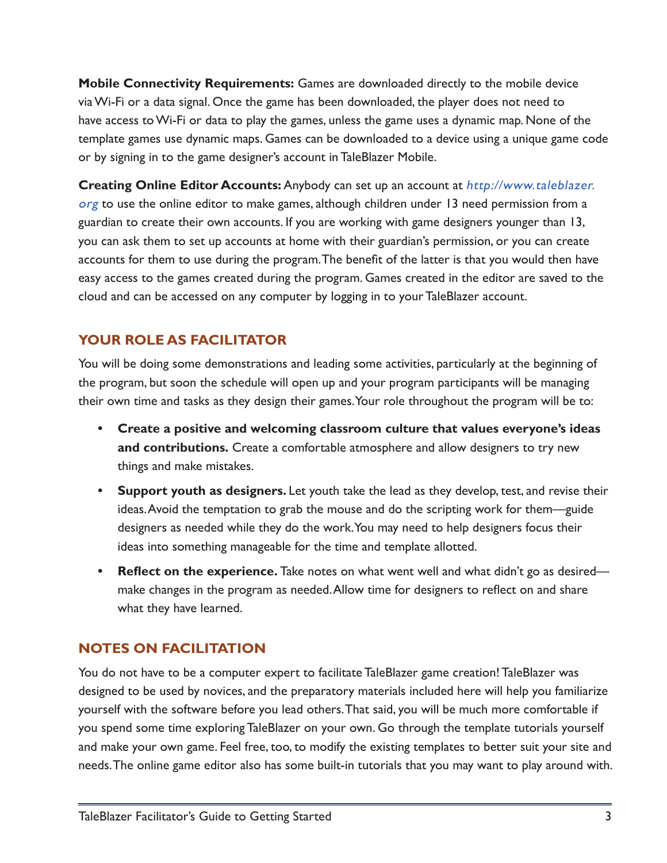**Mobile Connectivity Requirements:** Games are downloaded directly to the mobile device via Wi-Fi or a data signal. Once the game has been downloaded, the player does not need to have access to Wi-Fi or data to play the games, unless the game uses a dynamic map. None of the template games use dynamic maps. Games can be downloaded to a device using a unique game code or by signing in to the game designer's account in TaleBlazer Mobile.

**Creating Online Editor Accounts:** Anybody can set up an account at [http://www.taleblazer.](http://www.taleblazer.org) [org](http://www.taleblazer.org) to use the online editor to make games, although children under 13 need permission from a guardian to create their own accounts. If you are working with game designers younger than 13, you can ask them to set up accounts at home with their guardian's permission, or you can create accounts for them to use during the program. The benefit of the latter is that you would then have easy access to the games created during the program. Games created in the editor are saved to the cloud and can be accessed on any computer by logging in to your TaleBlazer account.

## **YOUR ROLE AS FACILITATOR**

You will be doing some demonstrations and leading some activities, particularly at the beginning of the program, but soon the schedule will open up and your program participants will be managing their own time and tasks as they design their games. Your role throughout the program will be to:

- **• Create a positive and welcoming classroom culture that values everyone's ideas and contributions.** Create a comfortable atmosphere and allow designers to try new things and make mistakes.
- **• Support youth as designers.** Let youth take the lead as they develop, test, and revise their ideas. Avoid the temptation to grab the mouse and do the scripting work for them—guide designers as needed while they do the work. You may need to help designers focus their ideas into something manageable for the time and template allotted.
- **• Reflect on the experience.** Take notes on what went well and what didn't go as desired make changes in the program as needed. Allow time for designers to reflect on and share what they have learned.

## **NOTES ON FACILITATION**

You do not have to be a computer expert to facilitate TaleBlazer game creation! TaleBlazer was designed to be used by novices, and the preparatory materials included here will help you familiarize yourself with the software before you lead others. That said, you will be much more comfortable if you spend some time exploring TaleBlazer on your own. Go through the template tutorials yourself and make your own game. Feel free, too, to modify the existing templates to better suit your site and needs. The online game editor also has some built-in tutorials that you may want to play around with.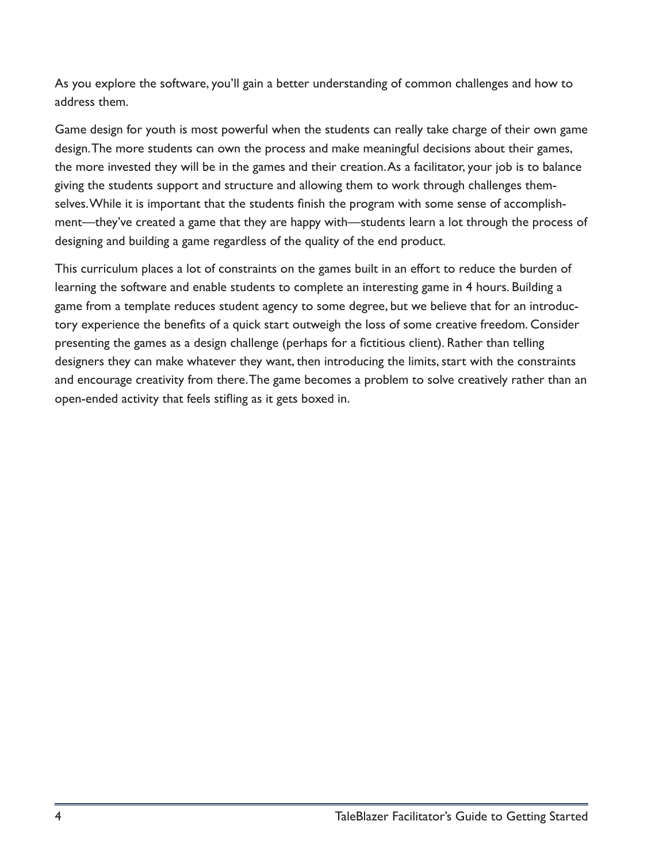As you explore the software, you'll gain a better understanding of common challenges and how to address them.

Game design for youth is most powerful when the students can really take charge of their own game design. The more students can own the process and make meaningful decisions about their games, the more invested they will be in the games and their creation. As a facilitator, your job is to balance giving the students support and structure and allowing them to work through challenges themselves. While it is important that the students finish the program with some sense of accomplishment—they've created a game that they are happy with—students learn a lot through the process of designing and building a game regardless of the quality of the end product.

This curriculum places a lot of constraints on the games built in an effort to reduce the burden of learning the software and enable students to complete an interesting game in 4 hours. Building a game from a template reduces student agency to some degree, but we believe that for an introductory experience the benefits of a quick start outweigh the loss of some creative freedom. Consider presenting the games as a design challenge (perhaps for a fictitious client). Rather than telling designers they can make whatever they want, then introducing the limits, start with the constraints and encourage creativity from there. The game becomes a problem to solve creatively rather than an open-ended activity that feels stifling as it gets boxed in.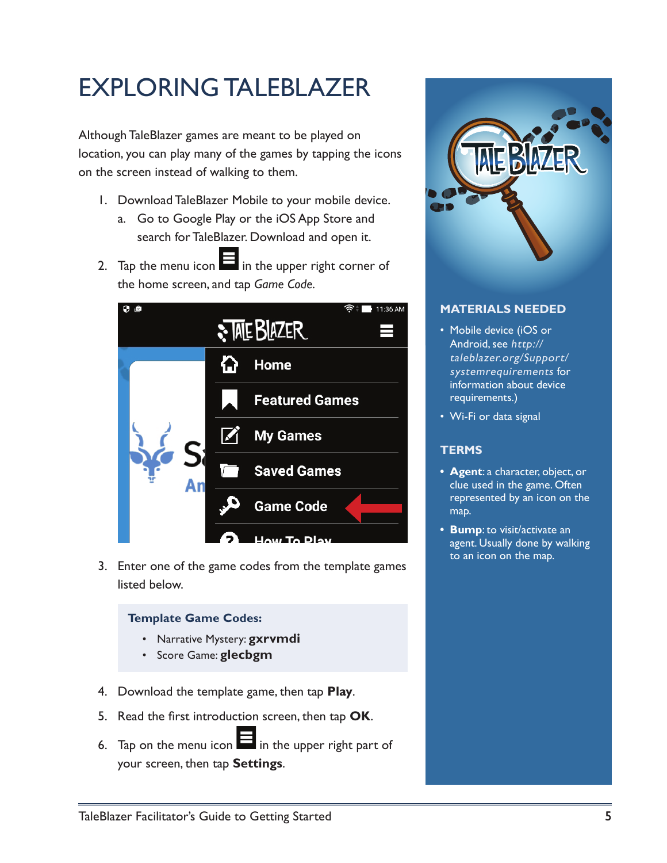## EXPLORING TALEBLAZER

Although TaleBlazer games are meant to be played on location, you can play many of the games by tapping the icons on the screen instead of walking to them.

- 1. Download TaleBlazer Mobile to your mobile device.
	- a. Go to Google Play or the iOS App Store and search for TaleBlazer. Download and open it.
- 2. Tap the menu icon  $\blacksquare$  in the upper right corner of the home screen, and tap *Game Code*.



3. Enter one of the game codes from the template games listed below.

#### **Template Game Codes:**

- Narrative Mystery: **gxrvmdi**
- Score Game: **glecbgm**
- 4. Download the template game, then tap **Play**.
- 5. Read the first introduction screen, then tap **OK**.
- 6. Tap on the menu icon  $\blacksquare$  in the upper right part of your screen, then tap **Settings**.



## **MATERIALS NEEDED**

- Mobile device (iOS or Android, see [http://](http://taleblazer.org/Support/systemrequirements) [taleblazer.org/Support/](http://taleblazer.org/Support/systemrequirements) sys[temrequirements](http://taleblazer.org/Support/systemrequirements) for information about device requirements.)
- Wi-Fi or data signal

## **TERMS**

- **• Agent**: a character, object, or clue used in the game. Often represented by an icon on the map.
- **• Bump**: to visit/activate an agent. Usually done by walking to an icon on the map.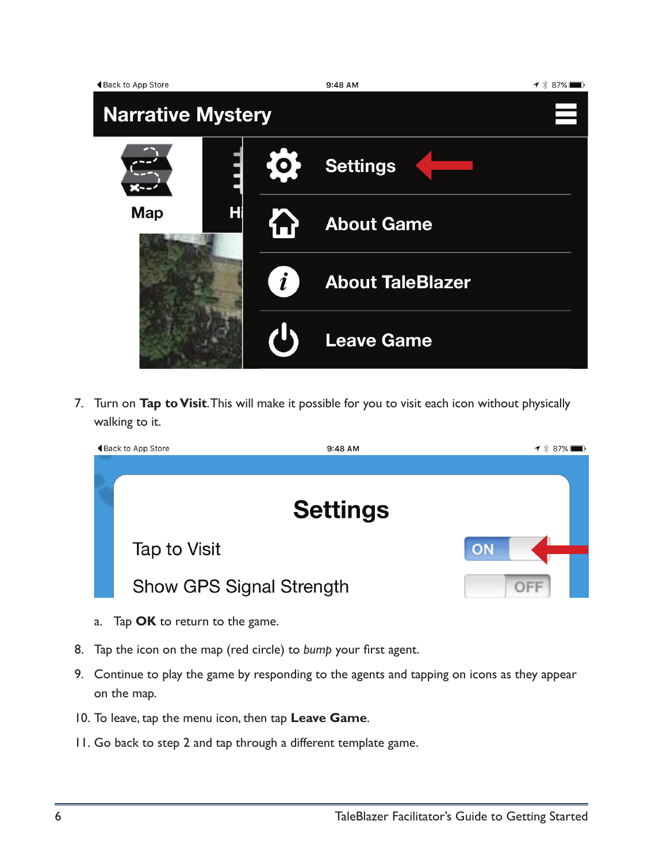| Back to App Store        |   |                  | 9:48 AM                 | $1 * 87%$ |  |  |  |
|--------------------------|---|------------------|-------------------------|-----------|--|--|--|
| <b>Narrative Mystery</b> |   |                  |                         |           |  |  |  |
|                          |   | $^{\prime}$ O    | <b>Settings</b>         |           |  |  |  |
| <b>Map</b>               | H |                  | <b>About Game</b>       |           |  |  |  |
|                          |   | $\boldsymbol{i}$ | <b>About TaleBlazer</b> |           |  |  |  |
|                          |   |                  | <b>Leave Game</b>       |           |  |  |  |

7. Turn on **Tap to Visit**. This will make it possible for you to visit each icon without physically walking to it.

| ◀ Back to App Store<br>9:48 AM  | $-1$ $*$ 87% |
|---------------------------------|--------------|
|                                 |              |
| <b>Settings</b>                 |              |
| Tap to Visit                    | ON           |
| <b>Show GPS Signal Strength</b> | $\Box -$     |

- a. Tap **OK** to return to the game.
- 8. Tap the icon on the map (red circle) to *bump* your first agent.
- 9. Continue to play the game by responding to the agents and tapping on icons as they appear on the map.
- 10. To leave, tap the menu icon, then tap **Leave Game**.
- 11. Go back to step 2 and tap through a different template game.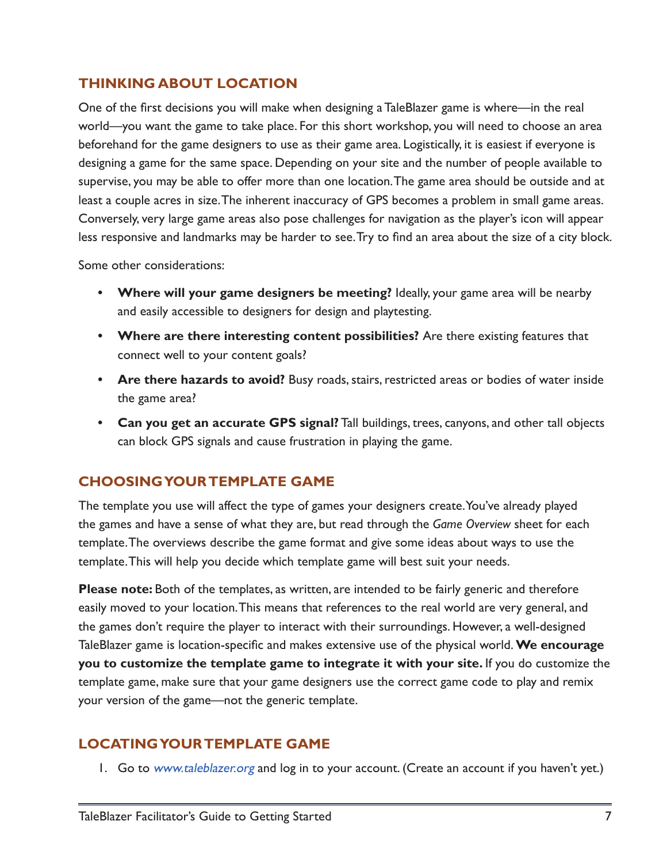## **THINKING ABOUT LOCATION**

One of the first decisions you will make when designing a TaleBlazer game is where—in the real world—you want the game to take place. For this short workshop, you will need to choose an area beforehand for the game designers to use as their game area. Logistically, it is easiest if everyone is designing a game for the same space. Depending on your site and the number of people available to supervise, you may be able to offer more than one location. The game area should be outside and at least a couple acres in size. The inherent inaccuracy of GPS becomes a problem in small game areas. Conversely, very large game areas also pose challenges for navigation as the player's icon will appear less responsive and landmarks may be harder to see. Try to find an area about the size of a city block.

Some other considerations:

- **• Where will your game designers be meeting?** Ideally, your game area will be nearby and easily accessible to designers for design and playtesting.
- **• Where are there interesting content possibilities?** Are there existing features that connect well to your content goals?
- **• Are there hazards to avoid?** Busy roads, stairs, restricted areas or bodies of water inside the game area?
- **• Can you get an accurate GPS signal?** Tall buildings, trees, canyons, and other tall objects can block GPS signals and cause frustration in playing the game.

## **CHOOSING YOUR TEMPLATE GAME**

The template you use will affect the type of games your designers create. You've already played the games and have a sense of what they are, but read through the *Game Overview* sheet for each template. The overviews describe the game format and give some ideas about ways to use the template. This will help you decide which template game will best suit your needs.

**Please note:** Both of the templates, as written, are intended to be fairly generic and therefore easily moved to your location. This means that references to the real world are very general, and the games don't require the player to interact with their surroundings. However, a well-designed TaleBlazer game is location-specific and makes extensive use of the physical world. **We encourage you to customize the template game to integrate it with your site.** If you do customize the template game, make sure that your game designers use the correct game code to play and remix your version of the game—not the generic template.

## **LOCATING YOUR TEMPLATE GAME**

1. Go to [www.taleblazer.org](http://www.taleblazer.org) and log in to your account. (Create an account if you haven't yet.)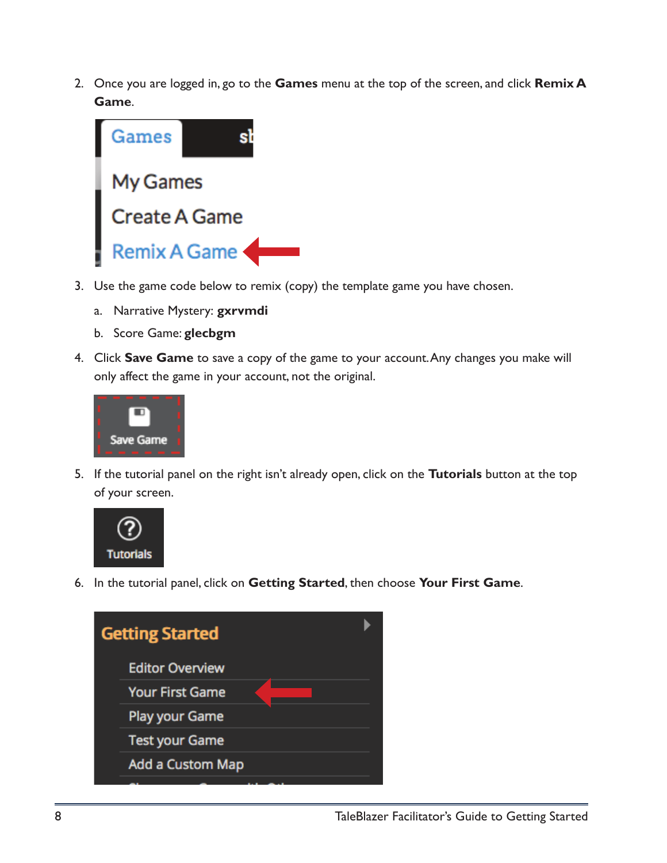2. Once you are logged in, go to the **Games** menu at the top of the screen, and click **Remix A Game**.



- 3. Use the game code below to remix (copy) the template game you have chosen.
	- a. Narrative Mystery: **gxrvmdi**
	- b. Score Game: **glecbgm**
- 4. Click **Save Game** to save a copy of the game to your account. Any changes you make will only affect the game in your account, not the original.



5. If the tutorial panel on the right isn't already open, click on the **Tutorials** button at the top of your screen.



6. In the tutorial panel, click on **Getting Started**, then choose **Your First Game**.

| <b>Getting Started</b>  |  |
|-------------------------|--|
| <b>Editor Overview</b>  |  |
| <b>Your First Game</b>  |  |
| <b>Play your Game</b>   |  |
| <b>Test your Game</b>   |  |
| <b>Add a Custom Map</b> |  |
|                         |  |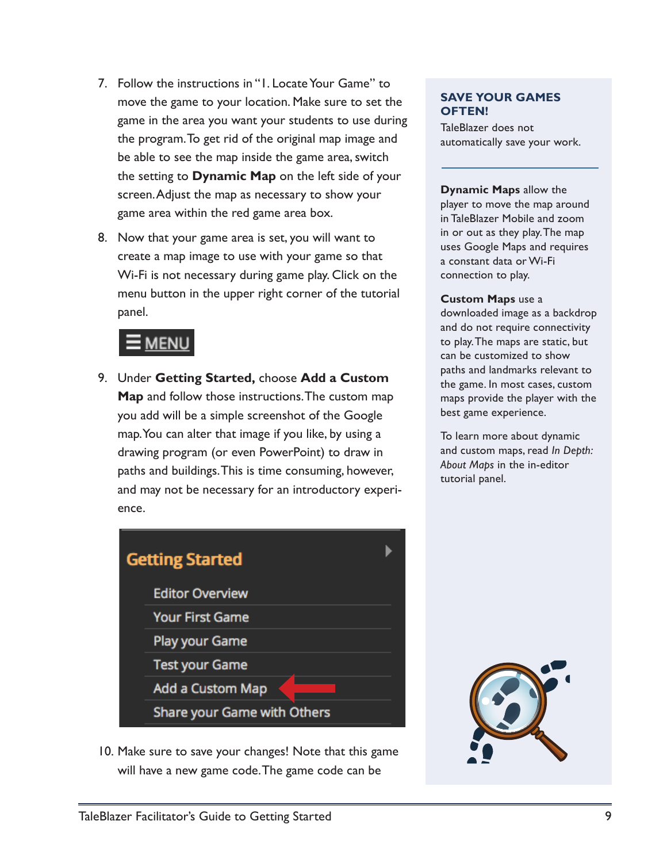- 7. Follow the instructions in "1. Locate Your Game" to move the game to your location. Make sure to set the game in the area you want your students to use during the program. To get rid of the original map image and be able to see the map inside the game area, switch the setting to **Dynamic Map** on the left side of your screen. Adjust the map as necessary to show your game area within the red game area box.
- 8. Now that your game area is set, you will want to create a map image to use with your game so that Wi-Fi is not necessary during game play. Click on the menu button in the upper right corner of the tutorial panel.

## **MENL**

9. Under **Getting Started,** choose **Add a Custom Map** and follow those instructions. The custom map you add will be a simple screenshot of the Google map. You can alter that image if you like, by using a drawing program (or even PowerPoint) to draw in paths and buildings. This is time consuming, however, and may not be necessary for an introductory experience.



10. Make sure to save your changes! Note that this game will have a new game code. The game code can be

#### **SAVE YOUR GAMES OFTEN!**

TaleBlazer does not automatically save your work.

#### **Dynamic Maps** allow the

player to move the map around in TaleBlazer Mobile and zoom in or out as they play. The map uses Google Maps and requires a constant data or Wi-Fi connection to play.

#### **Custom Maps** use a

downloaded image as a backdrop and do not require connectivity to play. The maps are static, but can be customized to show paths and landmarks relevant to the game. In most cases, custom maps provide the player with the best game experience.

To learn more about dynamic and custom maps, read *In Depth: About Maps* in the in-editor tutorial panel.

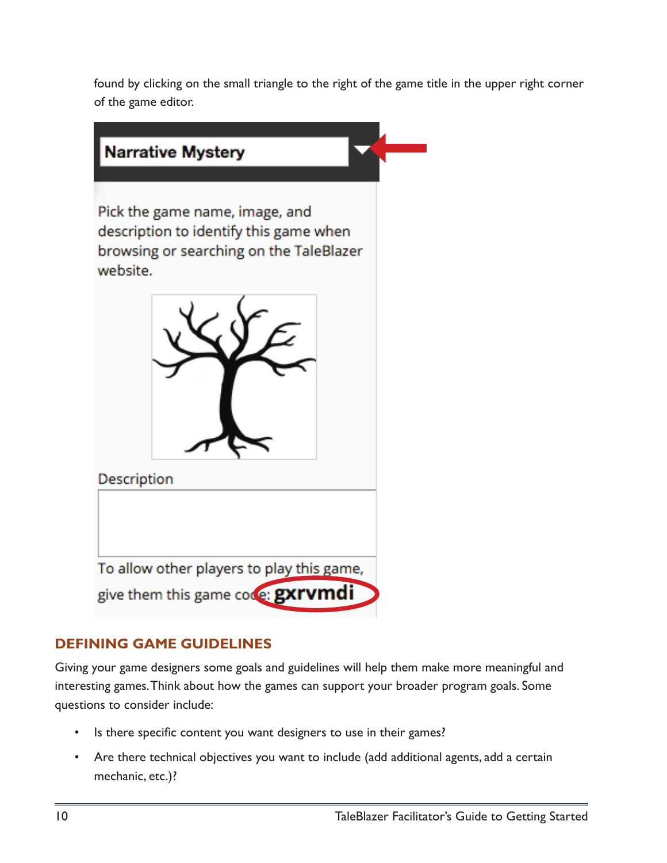found by clicking on the small triangle to the right of the game title in the upper right corner of the game editor.



## **DEFINING GAME GUIDELINES**

Giving your game designers some goals and guidelines will help them make more meaningful and interesting games. Think about how the games can support your broader program goals. Some questions to consider include:

- Is there specific content you want designers to use in their games?
- Are there technical objectives you want to include (add additional agents, add a certain mechanic, etc.)?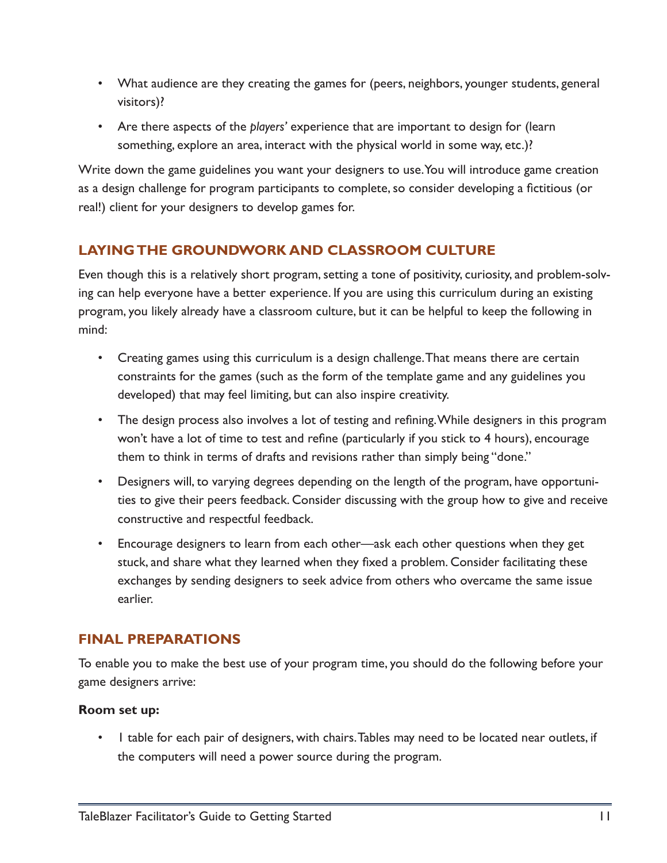- What audience are they creating the games for (peers, neighbors, younger students, general visitors)?
- Are there aspects of the *players'* experience that are important to design for (learn something, explore an area, interact with the physical world in some way, etc.)?

Write down the game guidelines you want your designers to use. You will introduce game creation as a design challenge for program participants to complete, so consider developing a fictitious (or real!) client for your designers to develop games for.

## **LAYING THE GROUNDWORK AND CLASSROOM CULTURE**

Even though this is a relatively short program, setting a tone of positivity, curiosity, and problem-solving can help everyone have a better experience. If you are using this curriculum during an existing program, you likely already have a classroom culture, but it can be helpful to keep the following in mind:

- Creating games using this curriculum is a design challenge. That means there are certain constraints for the games (such as the form of the template game and any guidelines you developed) that may feel limiting, but can also inspire creativity.
- The design process also involves a lot of testing and refining. While designers in this program won't have a lot of time to test and refine (particularly if you stick to 4 hours), encourage them to think in terms of drafts and revisions rather than simply being "done."
- Designers will, to varying degrees depending on the length of the program, have opportunities to give their peers feedback. Consider discussing with the group how to give and receive constructive and respectful feedback.
- Encourage designers to learn from each other—ask each other questions when they get stuck, and share what they learned when they fixed a problem. Consider facilitating these exchanges by sending designers to seek advice from others who overcame the same issue earlier.

## **FINAL PREPARATIONS**

To enable you to make the best use of your program time, you should do the following before your game designers arrive:

#### **Room set up:**

• 1 table for each pair of designers, with chairs. Tables may need to be located near outlets, if the computers will need a power source during the program.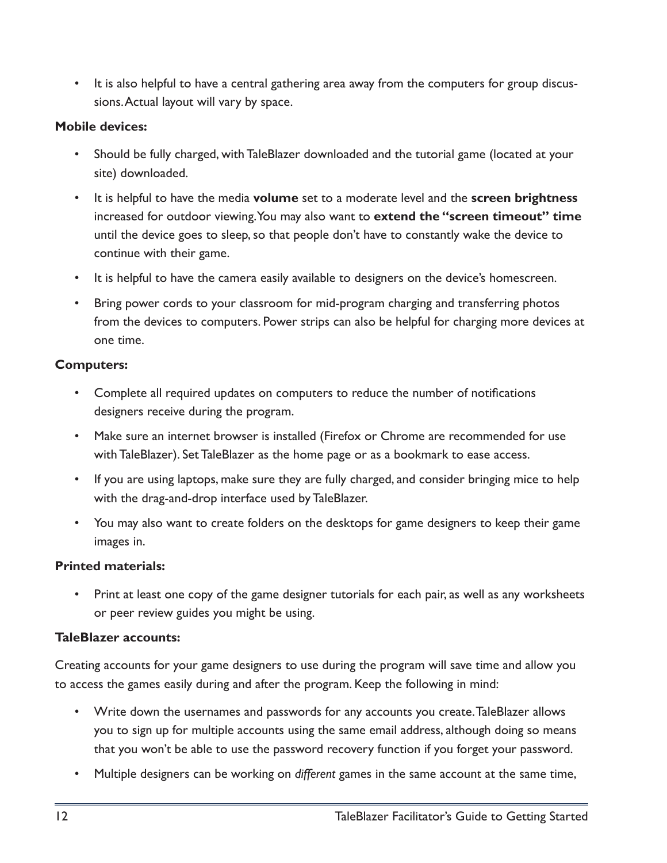• It is also helpful to have a central gathering area away from the computers for group discussions. Actual layout will vary by space.

#### **Mobile devices:**

- Should be fully charged, with TaleBlazer downloaded and the tutorial game (located at your site) downloaded.
- It is helpful to have the media **volume** set to a moderate level and the **screen brightness**  increased for outdoor viewing. You may also want to **extend the "screen timeout" time**  until the device goes to sleep, so that people don't have to constantly wake the device to continue with their game.
- It is helpful to have the camera easily available to designers on the device's homescreen.
- Bring power cords to your classroom for mid-program charging and transferring photos from the devices to computers. Power strips can also be helpful for charging more devices at one time.

### **Computers:**

- Complete all required updates on computers to reduce the number of notifications designers receive during the program.
- Make sure an internet browser is installed (Firefox or Chrome are recommended for use with TaleBlazer). Set TaleBlazer as the home page or as a bookmark to ease access.
- If you are using laptops, make sure they are fully charged, and consider bringing mice to help with the drag-and-drop interface used by TaleBlazer.
- You may also want to create folders on the desktops for game designers to keep their game images in.

## **Printed materials:**

• Print at least one copy of the game designer tutorials for each pair, as well as any worksheets or peer review guides you might be using.

#### **TaleBlazer accounts:**

Creating accounts for your game designers to use during the program will save time and allow you to access the games easily during and after the program. Keep the following in mind:

- Write down the usernames and passwords for any accounts you create. TaleBlazer allows you to sign up for multiple accounts using the same email address, although doing so means that you won't be able to use the password recovery function if you forget your password.
- Multiple designers can be working on *different* games in the same account at the same time,